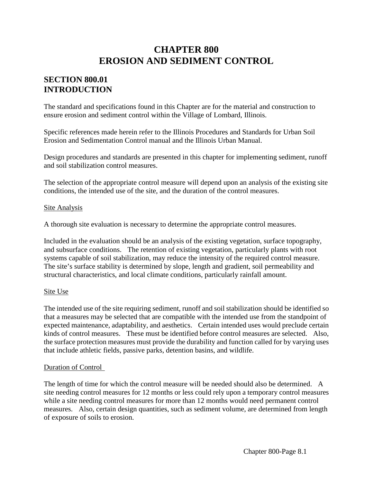# **CHAPTER 800 EROSION AND SEDIMENT CONTROL**

# **SECTION 800.01 INTRODUCTION**

The standard and specifications found in this Chapter are for the material and construction to ensure erosion and sediment control within the Village of Lombard, Illinois.

Specific references made herein refer to the Illinois Procedures and Standards for Urban Soil Erosion and Sedimentation Control manual and the Illinois Urban Manual.

Design procedures and standards are presented in this chapter for implementing sediment, runoff and soil stabilization control measures.

The selection of the appropriate control measure will depend upon an analysis of the existing site conditions, the intended use of the site, and the duration of the control measures.

### Site Analysis

A thorough site evaluation is necessary to determine the appropriate control measures.

Included in the evaluation should be an analysis of the existing vegetation, surface topography, and subsurface conditions. The retention of existing vegetation, particularly plants with root systems capable of soil stabilization, may reduce the intensity of the required control measure. The site's surface stability is determined by slope, length and gradient, soil permeability and structural characteristics, and local climate conditions, particularly rainfall amount.

#### Site Use

The intended use of the site requiring sediment, runoff and soil stabilization should be identified so that a measures may be selected that are compatible with the intended use from the standpoint of expected maintenance, adaptability, and aesthetics. Certain intended uses would preclude certain kinds of control measures. These must be identified before control measures are selected. Also, the surface protection measures must provide the durability and function called for by varying uses that include athletic fields, passive parks, detention basins, and wildlife.

#### Duration of Control

The length of time for which the control measure will be needed should also be determined. A site needing control measures for 12 months or less could rely upon a temporary control measures while a site needing control measures for more than 12 months would need permanent control measures. Also, certain design quantities, such as sediment volume, are determined from length of exposure of soils to erosion.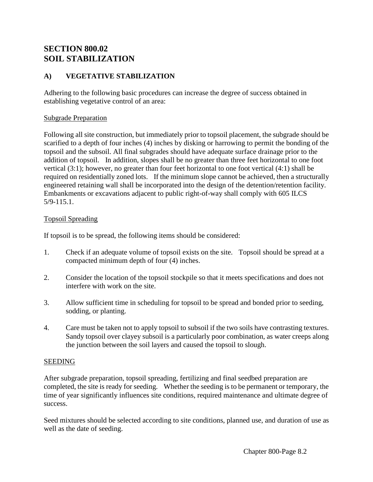# **SECTION 800.02 SOIL STABILIZATION**

## **A) VEGETATIVE STABILIZATION**

Adhering to the following basic procedures can increase the degree of success obtained in establishing vegetative control of an area:

#### Subgrade Preparation

Following all site construction, but immediately prior to topsoil placement, the subgrade should be scarified to a depth of four inches (4) inches by disking or harrowing to permit the bonding of the topsoil and the subsoil. All final subgrades should have adequate surface drainage prior to the addition of topsoil. In addition, slopes shall be no greater than three feet horizontal to one foot vertical (3:1); however, no greater than four feet horizontal to one foot vertical (4:1) shall be required on residentially zoned lots. If the minimum slope cannot be achieved, then a structurally engineered retaining wall shall be incorporated into the design of the detention/retention facility. Embankments or excavations adjacent to public right-of-way shall comply with 605 ILCS 5/9-115.1.

### Topsoil Spreading

If topsoil is to be spread, the following items should be considered:

- 1. Check if an adequate volume of topsoil exists on the site. Topsoil should be spread at a compacted minimum depth of four (4) inches.
- 2. Consider the location of the topsoil stockpile so that it meets specifications and does not interfere with work on the site.
- 3. Allow sufficient time in scheduling for topsoil to be spread and bonded prior to seeding, sodding, or planting.
- 4. Care must be taken not to apply topsoil to subsoil if the two soils have contrasting textures. Sandy topsoil over clayey subsoil is a particularly poor combination, as water creeps along the junction between the soil layers and caused the topsoil to slough.

#### SEEDING

After subgrade preparation, topsoil spreading, fertilizing and final seedbed preparation are completed, the site is ready for seeding. Whether the seeding is to be permanent or temporary, the time of year significantly influences site conditions, required maintenance and ultimate degree of success.

Seed mixtures should be selected according to site conditions, planned use, and duration of use as well as the date of seeding.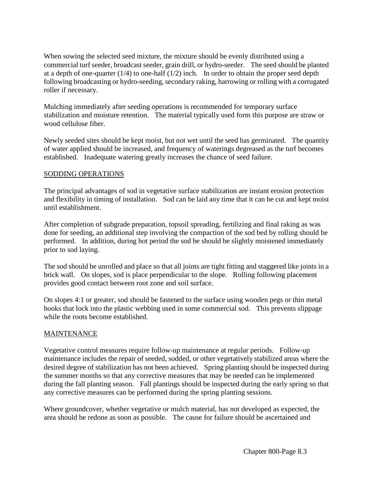When sowing the selected seed mixture, the mixture should be evenly distributed using a commercial turf seeder, broadcast seeder, grain drill, or hydro-seeder. The seed should be planted at a depth of one-quarter  $(1/4)$  to one-half  $(1/2)$  inch. In order to obtain the proper seed depth following broadcasting or hydro-seeding, secondary raking, harrowing or rolling with a corrugated roller if necessary.

Mulching immediately after seeding operations is recommended for temporary surface stabilization and moisture retention. The material typically used form this purpose are straw or wood cellulose fiber.

Newly seeded sites should be kept moist, but not wet until the seed has germinated. The quantity of water applied should be increased, and frequency of waterings degreased as the turf becomes established. Inadequate watering greatly increases the chance of seed failure.

### SODDING OPERATIONS

The principal advantages of sod in vegetative surface stabilization are instant erosion protection and flexibility in timing of installation. Sod can be laid any time that it can be cut and kept moist until establishment.

After completion of subgrade preparation, topsoil spreading, fertilizing and final raking as was done for seeding, an additional step involving the compaction of the sod bed by rolling should be performed. In addition, during hot period the sod be should be slightly moistened immediately prior to sod laying.

The sod should be unrolled and place so that all joints are tight fitting and staggered like joints in a brick wall. On slopes, sod is place perpendicular to the slope. Rolling following placement provides good contact between root zone and soil surface.

On slopes 4:1 or greater, sod should be fastened to the surface using wooden pegs or thin metal hooks that lock into the plastic webbing used in some commercial sod. This prevents slippage while the roots become established.

## **MAINTENANCE**

Vegetative control measures require follow-up maintenance at regular periods. Follow-up maintenance includes the repair of seeded, sodded, or other vegetatively stabilized areas where the desired degree of stabilization has not been achieved. Spring planting should be inspected during the summer months so that any corrective measures that may be needed can be implemented during the fall planting season. Fall plantings should be inspected during the early spring so that any corrective measures can be performed during the spring planting sessions.

Where groundcover, whether vegetative or mulch material, has not developed as expected, the area should be redone as soon as possible. The cause for failure should be ascertained and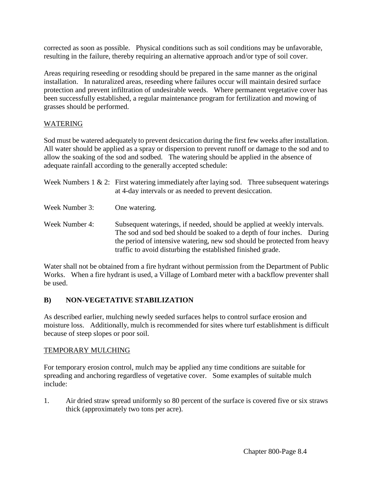corrected as soon as possible. Physical conditions such as soil conditions may be unfavorable, resulting in the failure, thereby requiring an alternative approach and/or type of soil cover.

Areas requiring reseeding or resodding should be prepared in the same manner as the original installation. In naturalized areas, reseeding where failures occur will maintain desired surface protection and prevent infiltration of undesirable weeds. Where permanent vegetative cover has been successfully established, a regular maintenance program for fertilization and mowing of grasses should be performed.

## WATERING

Sod must be watered adequately to prevent desiccation during the first few weeks after installation. All water should be applied as a spray or dispersion to prevent runoff or damage to the sod and to allow the soaking of the sod and sodbed. The watering should be applied in the absence of adequate rainfall according to the generally accepted schedule:

|                | Week Numbers $1 \& 2$ : First watering immediately after laying sod. Three subsequent waterings<br>at 4-day intervals or as needed to prevent desiccation.                                                                                                                                   |  |
|----------------|----------------------------------------------------------------------------------------------------------------------------------------------------------------------------------------------------------------------------------------------------------------------------------------------|--|
| Week Number 3: | One watering.                                                                                                                                                                                                                                                                                |  |
| Week Number 4: | Subsequent waterings, if needed, should be applied at weekly intervals.<br>The sod and sod bed should be soaked to a depth of four inches. During<br>the period of intensive watering, new sod should be protected from heavy<br>traffic to avoid disturbing the established finished grade. |  |

Water shall not be obtained from a fire hydrant without permission from the Department of Public Works. When a fire hydrant is used, a Village of Lombard meter with a backflow preventer shall be used.

## **B) NON-VEGETATIVE STABILIZATION**

As described earlier, mulching newly seeded surfaces helps to control surface erosion and moisture loss. Additionally, mulch is recommended for sites where turf establishment is difficult because of steep slopes or poor soil.

## TEMPORARY MULCHING

For temporary erosion control, mulch may be applied any time conditions are suitable for spreading and anchoring regardless of vegetative cover. Some examples of suitable mulch include:

1. Air dried straw spread uniformly so 80 percent of the surface is covered five or six straws thick (approximately two tons per acre).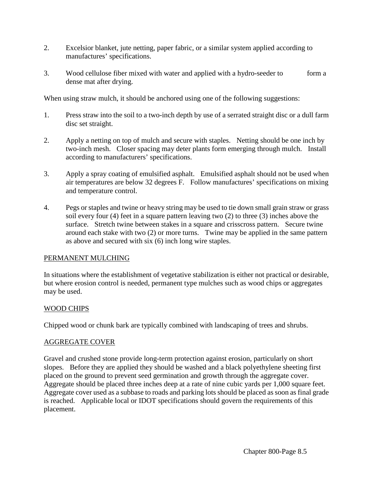- 2. Excelsior blanket, jute netting, paper fabric, or a similar system applied according to manufactures' specifications.
- 3. Wood cellulose fiber mixed with water and applied with a hydro-seeder to form a dense mat after drying.

When using straw mulch, it should be anchored using one of the following suggestions:

- 1. Press straw into the soil to a two-inch depth by use of a serrated straight disc or a dull farm disc set straight.
- 2. Apply a netting on top of mulch and secure with staples. Netting should be one inch by two-inch mesh. Closer spacing may deter plants form emerging through mulch. Install according to manufacturers' specifications.
- 3. Apply a spray coating of emulsified asphalt. Emulsified asphalt should not be used when air temperatures are below 32 degrees F. Follow manufactures' specifications on mixing and temperature control.
- 4. Pegs or staples and twine or heavy string may be used to tie down small grain straw or grass soil every four (4) feet in a square pattern leaving two (2) to three (3) inches above the surface. Stretch twine between stakes in a square and crisscross pattern. Secure twine around each stake with two (2) or more turns. Twine may be applied in the same pattern as above and secured with six (6) inch long wire staples.

## PERMANENT MULCHING

In situations where the establishment of vegetative stabilization is either not practical or desirable, but where erosion control is needed, permanent type mulches such as wood chips or aggregates may be used.

## WOOD CHIPS

Chipped wood or chunk bark are typically combined with landscaping of trees and shrubs.

## AGGREGATE COVER

Gravel and crushed stone provide long-term protection against erosion, particularly on short slopes. Before they are applied they should be washed and a black polyethylene sheeting first placed on the ground to prevent seed germination and growth through the aggregate cover. Aggregate should be placed three inches deep at a rate of nine cubic yards per 1,000 square feet. Aggregate cover used as a subbase to roads and parking lots should be placed as soon as final grade is reached. Applicable local or IDOT specifications should govern the requirements of this placement.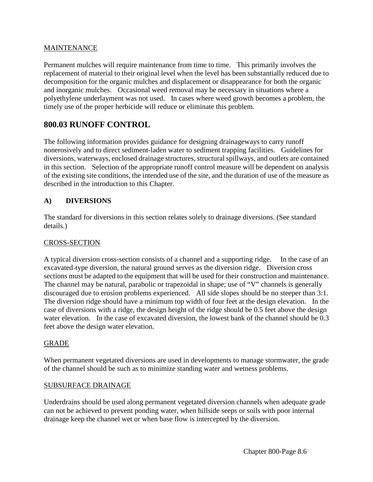### MAINTENANCE

Permanent mulches will require maintenance from time to time. This primarily involves the replacement of material to their original level when the level has been substantially reduced due to decomposition for the organic mulches and displacement or disappearance for both the organic and inorganic mulches. Occasional weed removal may be necessary in situations where a polyethylene underlayment was not used. In cases where weed growth becomes a problem, the timely use of the proper herbicide will reduce or eliminate this problem.

## **800.03 RUNOFF CONTROL**

The following information provides guidance for designing drainageways to carry runoff nonerosively and to direct sediment-laden water to sediment trapping facilities. Guidelines for diversions, waterways, enclosed drainage structures, structural spillways, and outlets are contained in this section. Selection of the appropriate runoff control measure will be dependent on analysis of the existing site conditions, the intended use of the site, and the duration of use of the measure as described in the introduction to this Chapter.

## **A) DIVERSIONS**

The standard for diversions in this section relates solely to drainage diversions. (See standard details.)

### CROSS-SECTION

A typical diversion cross-section consists of a channel and a supporting ridge. In the case of an excavated-type diversion, the natural ground serves as the diversion ridge. Diversion cross sections must be adapted to the equipment that will be used for their construction and maintenance. The channel may be natural, parabolic or trapezoidal in shape; use of "V" channels is generally discouraged due to erosion problems experienced. All side slopes should be no steeper than 3:1. The diversion ridge should have a minimum top width of four feet at the design elevation. In the case of diversions with a ridge, the design height of the ridge should be 0.5 feet above the design water elevation. In the case of excavated diversion, the lowest bank of the channel should be 0.3 feet above the design water elevation.

#### GRADE

When permanent vegetated diversions are used in developments to manage stormwater, the grade of the channel should be such as to minimize standing water and wetness problems.

#### SUBSURFACE DRAINAGE

Underdrains should be used along permanent vegetated diversion channels when adequate grade can not be achieved to prevent ponding water, when hillside seeps or soils with poor internal drainage keep the channel wet or when base flow is intercepted by the diversion.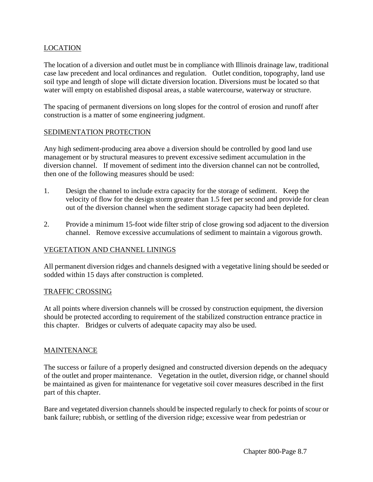## LOCATION

The location of a diversion and outlet must be in compliance with Illinois drainage law, traditional case law precedent and local ordinances and regulation. Outlet condition, topography, land use soil type and length of slope will dictate diversion location. Diversions must be located so that water will empty on established disposal areas, a stable watercourse, waterway or structure.

The spacing of permanent diversions on long slopes for the control of erosion and runoff after construction is a matter of some engineering judgment.

#### SEDIMENTATION PROTECTION

Any high sediment-producing area above a diversion should be controlled by good land use management or by structural measures to prevent excessive sediment accumulation in the diversion channel. If movement of sediment into the diversion channel can not be controlled, then one of the following measures should be used:

- 1. Design the channel to include extra capacity for the storage of sediment. Keep the velocity of flow for the design storm greater than 1.5 feet per second and provide for clean out of the diversion channel when the sediment storage capacity had been depleted.
- 2. Provide a minimum 15-foot wide filter strip of close growing sod adjacent to the diversion channel. Remove excessive accumulations of sediment to maintain a vigorous growth.

#### VEGETATION AND CHANNEL LININGS

All permanent diversion ridges and channels designed with a vegetative lining should be seeded or sodded within 15 days after construction is completed.

#### TRAFFIC CROSSING

At all points where diversion channels will be crossed by construction equipment, the diversion should be protected according to requirement of the stabilized construction entrance practice in this chapter. Bridges or culverts of adequate capacity may also be used.

#### MAINTENANCE

The success or failure of a properly designed and constructed diversion depends on the adequacy of the outlet and proper maintenance. Vegetation in the outlet, diversion ridge, or channel should be maintained as given for maintenance for vegetative soil cover measures described in the first part of this chapter.

Bare and vegetated diversion channels should be inspected regularly to check for points of scour or bank failure; rubbish, or settling of the diversion ridge; excessive wear from pedestrian or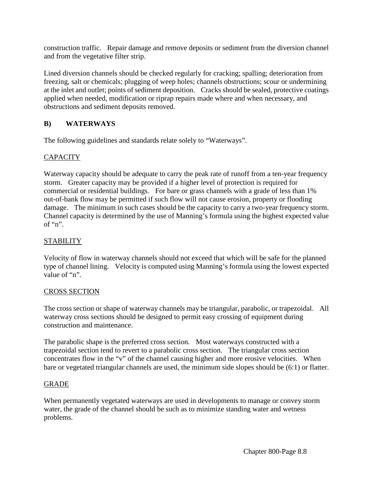construction traffic. Repair damage and remove deposits or sediment from the diversion channel and from the vegetative filter strip.

Lined diversion channels should be checked regularly for cracking; spalling; deterioration from freezing, salt or chemicals; plugging of weep holes; channels obstructions; scour or undermining at the inlet and outlet; points of sediment deposition. Cracks should be sealed, protective coatings applied when needed, modification or riprap repairs made where and when necessary, and obstructions and sediment deposits removed.

## **B) WATERWAYS**

The following guidelines and standards relate solely to "Waterways".

## **CAPACITY**

Waterway capacity should be adequate to carry the peak rate of runoff from a ten-year frequency storm. Greater capacity may be provided if a higher level of protection is required for commercial or residential buildings. For bare or grass channels with a grade of less than 1% out-of-bank flow may be permitted if such flow will not cause erosion, property or flooding damage. The minimum in such cases should be the capacity to carry a two-year frequency storm. Channel capacity is determined by the use of Manning's formula using the highest expected value of "n".

## **STABILITY**

Velocity of flow in waterway channels should not exceed that which will be safe for the planned type of channel lining. Velocity is computed using Manning's formula using the lowest expected value of "n".

## CROSS SECTION

The cross section or shape of waterway channels may be triangular, parabolic, or trapezoidal. All waterway cross sections should be designed to permit easy crossing of equipment during construction and maintenance.

The parabolic shape is the preferred cross section. Most waterways constructed with a trapezoidal section tend to revert to a parabolic cross section. The triangular cross section concentrates flow in the "v" of the channel causing higher and more erosive velocities. When bare or vegetated triangular channels are used, the minimum side slopes should be (6:1) or flatter.

## GRADE

When permanently vegetated waterways are used in developments to manage or convey storm water, the grade of the channel should be such as to minimize standing water and wetness problems.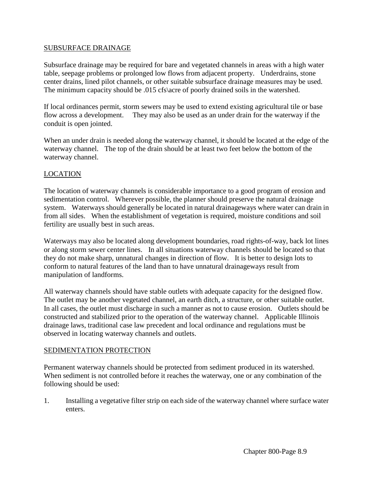### SUBSURFACE DRAINAGE

Subsurface drainage may be required for bare and vegetated channels in areas with a high water table, seepage problems or prolonged low flows from adjacent property. Underdrains, stone center drains, lined pilot channels, or other suitable subsurface drainage measures may be used. The minimum capacity should be .015 cfs\acre of poorly drained soils in the watershed.

If local ordinances permit, storm sewers may be used to extend existing agricultural tile or base flow across a development. They may also be used as an under drain for the waterway if the conduit is open jointed.

When an under drain is needed along the waterway channel, it should be located at the edge of the waterway channel. The top of the drain should be at least two feet below the bottom of the waterway channel.

### LOCATION

The location of waterway channels is considerable importance to a good program of erosion and sedimentation control. Wherever possible, the planner should preserve the natural drainage system. Waterways should generally be located in natural drainageways where water can drain in from all sides. When the establishment of vegetation is required, moisture conditions and soil fertility are usually best in such areas.

Waterways may also be located along development boundaries, road rights-of-way, back lot lines or along storm sewer center lines. In all situations waterway channels should be located so that they do not make sharp, unnatural changes in direction of flow. It is better to design lots to conform to natural features of the land than to have unnatural drainageways result from manipulation of landforms.

All waterway channels should have stable outlets with adequate capacity for the designed flow. The outlet may be another vegetated channel, an earth ditch, a structure, or other suitable outlet. In all cases, the outlet must discharge in such a manner as not to cause erosion. Outlets should be constructed and stabilized prior to the operation of the waterway channel. Applicable Illinois drainage laws, traditional case law precedent and local ordinance and regulations must be observed in locating waterway channels and outlets.

#### SEDIMENTATION PROTECTION

Permanent waterway channels should be protected from sediment produced in its watershed. When sediment is not controlled before it reaches the waterway, one or any combination of the following should be used:

1. Installing a vegetative filter strip on each side of the waterway channel where surface water enters.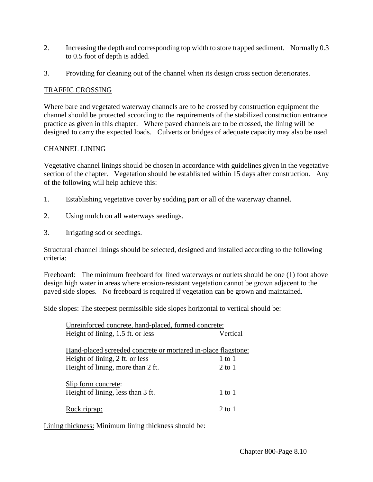- 2. Increasing the depth and corresponding top width to store trapped sediment. Normally 0.3 to 0.5 foot of depth is added.
- 3. Providing for cleaning out of the channel when its design cross section deteriorates.

## TRAFFIC CROSSING

Where bare and vegetated waterway channels are to be crossed by construction equipment the channel should be protected according to the requirements of the stabilized construction entrance practice as given in this chapter. Where paved channels are to be crossed, the lining will be designed to carry the expected loads. Culverts or bridges of adequate capacity may also be used.

## CHANNEL LINING

Vegetative channel linings should be chosen in accordance with guidelines given in the vegetative section of the chapter. Vegetation should be established within 15 days after construction. Any of the following will help achieve this:

- 1. Establishing vegetative cover by sodding part or all of the waterway channel.
- 2. Using mulch on all waterways seedings.
- 3. Irrigating sod or seedings.

Structural channel linings should be selected, designed and installed according to the following criteria:

Freeboard:The minimum freeboard for lined waterways or outlets should be one (1) foot above design high water in areas where erosion-resistant vegetation cannot be grown adjacent to the paved side slopes. No freeboard is required if vegetation can be grown and maintained.

Side slopes: The steepest permissible side slopes horizontal to vertical should be:

| Unreinforced concrete, hand-placed, formed concrete:          |            |  |  |
|---------------------------------------------------------------|------------|--|--|
| Height of lining, 1.5 ft. or less                             | Vertical   |  |  |
| Hand-placed screeded concrete or mortared in-place flagstone: |            |  |  |
| Height of lining, 2 ft. or less                               | $1$ to $1$ |  |  |
| Height of lining, more than 2 ft.                             | $2$ to $1$ |  |  |
| Slip form concrete:                                           |            |  |  |
| Height of lining, less than 3 ft.                             | $1$ to $1$ |  |  |
| Rock riprap:                                                  | 2 to 1     |  |  |

Lining thickness: Minimum lining thickness should be: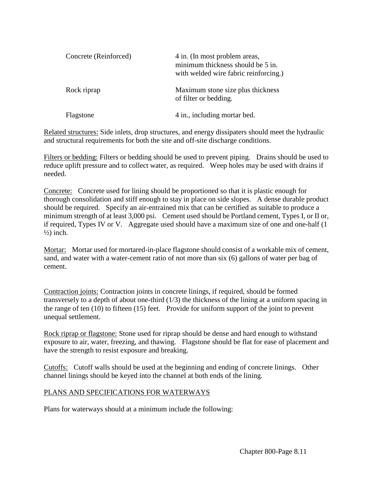| Concrete (Reinforced) | 4 in. (In most problem areas,<br>minimum thickness should be 5 in.<br>with welded wire fabric reinforcing.) |  |
|-----------------------|-------------------------------------------------------------------------------------------------------------|--|
| Rock riprap           | Maximum stone size plus thickness<br>of filter or bedding.                                                  |  |
| Flagstone             | 4 in., including mortar bed.                                                                                |  |

Related structures: Side inlets, drop structures, and energy dissipaters should meet the hydraulic and structural requirements for both the site and off-site discharge conditions.

Filters or bedding: Filters or bedding should be used to prevent piping. Drains should be used to reduce uplift pressure and to collect water, as required. Weep holes may be used with drains if needed.

Concrete: Concrete used for lining should be proportioned so that it is plastic enough for thorough consolidation and stiff enough to stay in place on side slopes. A dense durable product should be required. Specify an air-entrained mix that can be certified as suitable to produce a minimum strength of at least 3,000 psi. Cement used should be Portland cement, Types I, or II or, if required, Types IV or V. Aggregate used should have a maximum size of one and one-half (1  $\frac{1}{2}$  inch.

Mortar: Mortar used for mortared-in-place flagstone should consist of a workable mix of cement, sand, and water with a water-cement ratio of not more than six (6) gallons of water per bag of cement.

Contraction joints: Contraction joints in concrete linings, if required, should be formed transversely to a depth of about one-third (1/3) the thickness of the lining at a uniform spacing in the range of ten (10) to fifteen (15) feet. Provide for uniform support of the joint to prevent unequal settlement.

Rock riprap or flagstone: Stone used for riprap should be dense and hard enough to withstand exposure to air, water, freezing, and thawing. Flagstone should be flat for ease of placement and have the strength to resist exposure and breaking.

Cutoffs: Cutoff walls should be used at the beginning and ending of concrete linings. Other channel linings should be keyed into the channel at both ends of the lining.

## PLANS AND SPECIFICATIONS FOR WATERWAYS

Plans for waterways should at a minimum include the following: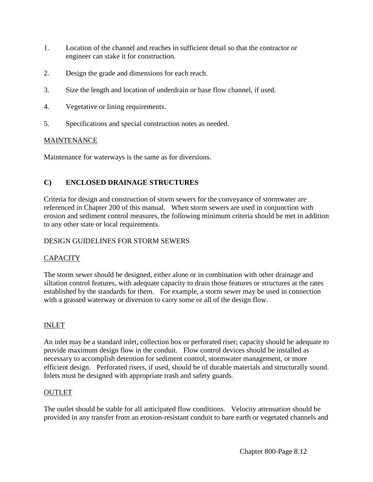- 1. Location of the channel and reaches in sufficient detail so that the contractor or engineer can stake it for construction.
- 2. Design the grade and dimensions for each reach.
- 3. Size the length and location of underdrain or base flow channel, if used.
- 4. Vegetative or lining requirements.
- 5. Specifications and special construction notes as needed.

## **MAINTENANCE**

Maintenance for waterways is the same as for diversions.

## **C) ENCLOSED DRAINAGE STRUCTURES**

Criteria for design and construction of storm sewers for the conveyance of stormwater are referenced in Chapter 200 of this manual. When storm sewers are used in conjunction with erosion and sediment control measures, the following minimum criteria should be met in addition to any other state or local requirements.

## DESIGN GUIDELINES FOR STORM SEWERS

## **CAPACITY**

The storm sewer should be designed, either alone or in combination with other drainage and siltation control features, with adequate capacity to drain those features or structures at the rates established by the standards for them. For example, a storm sewer may be used in connection with a grassed waterway or diversion to carry some or all of the design flow.

## INLET

An inlet may be a standard inlet, collection box or perforated riser; capacity should be adequate to provide maximum design flow in the conduit. Flow control devices should be installed as necessary to accomplish detention for sediment control, stormwater management, or more efficient design. Perforated risers, if used, should be of durable materials and structurally sound. Inlets must be designed with appropriate trash and safety guards.

## OUTLET

The outlet should be stable for all anticipated flow conditions. Velocity attenuation should be provided in any transfer from an erosion-resistant conduit to bare earth or vegetated channels and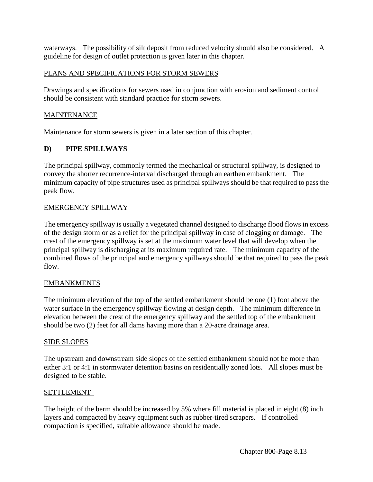waterways. The possibility of silt deposit from reduced velocity should also be considered. A guideline for design of outlet protection is given later in this chapter.

## PLANS AND SPECIFICATIONS FOR STORM SEWERS

Drawings and specifications for sewers used in conjunction with erosion and sediment control should be consistent with standard practice for storm sewers.

## MAINTENANCE

Maintenance for storm sewers is given in a later section of this chapter.

## **D) PIPE SPILLWAYS**

The principal spillway, commonly termed the mechanical or structural spillway, is designed to convey the shorter recurrence-interval discharged through an earthen embankment. The minimum capacity of pipe structures used as principal spillways should be that required to pass the peak flow.

## EMERGENCY SPILLWAY

The emergency spillway is usually a vegetated channel designed to discharge flood flows in excess of the design storm or as a relief for the principal spillway in case of clogging or damage. The crest of the emergency spillway is set at the maximum water level that will develop when the principal spillway is discharging at its maximum required rate. The minimum capacity of the combined flows of the principal and emergency spillways should be that required to pass the peak flow.

## EMBANKMENTS

The minimum elevation of the top of the settled embankment should be one (1) foot above the water surface in the emergency spillway flowing at design depth. The minimum difference in elevation between the crest of the emergency spillway and the settled top of the embankment should be two (2) feet for all dams having more than a 20-acre drainage area.

## SIDE SLOPES

The upstream and downstream side slopes of the settled embankment should not be more than either 3:1 or 4:1 in stormwater detention basins on residentially zoned lots. All slopes must be designed to be stable.

## SETTLEMENT

The height of the berm should be increased by 5% where fill material is placed in eight (8) inch layers and compacted by heavy equipment such as rubber-tired scrapers. If controlled compaction is specified, suitable allowance should be made.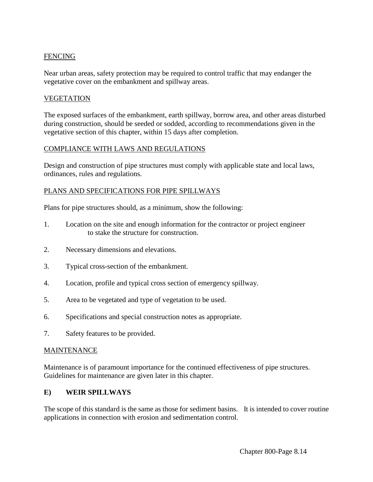## FENCING

Near urban areas, safety protection may be required to control traffic that may endanger the vegetative cover on the embankment and spillway areas.

#### VEGETATION

The exposed surfaces of the embankment, earth spillway, borrow area, and other areas disturbed during construction, should be seeded or sodded, according to recommendations given in the vegetative section of this chapter, within 15 days after completion.

#### COMPLIANCE WITH LAWS AND REGULATIONS

Design and construction of pipe structures must comply with applicable state and local laws, ordinances, rules and regulations.

#### PLANS AND SPECIFICATIONS FOR PIPE SPILLWAYS

Plans for pipe structures should, as a minimum, show the following:

- 1. Location on the site and enough information for the contractor or project engineer to stake the structure for construction.
- 2. Necessary dimensions and elevations.
- 3. Typical cross-section of the embankment.
- 4. Location, profile and typical cross section of emergency spillway.
- 5. Area to be vegetated and type of vegetation to be used.
- 6. Specifications and special construction notes as appropriate.
- 7. Safety features to be provided.

#### MAINTENANCE

Maintenance is of paramount importance for the continued effectiveness of pipe structures. Guidelines for maintenance are given later in this chapter.

#### **E) WEIR SPILLWAYS**

The scope of this standard is the same as those for sediment basins. It is intended to cover routine applications in connection with erosion and sedimentation control.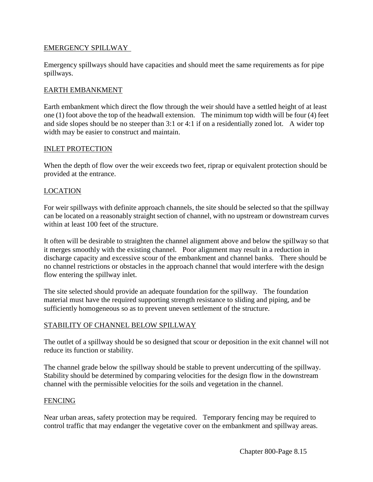### EMERGENCY SPILLWAY

Emergency spillways should have capacities and should meet the same requirements as for pipe spillways.

### EARTH EMBANKMENT

Earth embankment which direct the flow through the weir should have a settled height of at least one (1) foot above the top of the headwall extension. The minimum top width will be four (4) feet and side slopes should be no steeper than 3:1 or 4:1 if on a residentially zoned lot. A wider top width may be easier to construct and maintain.

#### INLET PROTECTION

When the depth of flow over the weir exceeds two feet, riprap or equivalent protection should be provided at the entrance.

### LOCATION

For weir spillways with definite approach channels, the site should be selected so that the spillway can be located on a reasonably straight section of channel, with no upstream or downstream curves within at least 100 feet of the structure.

It often will be desirable to straighten the channel alignment above and below the spillway so that it merges smoothly with the existing channel. Poor alignment may result in a reduction in discharge capacity and excessive scour of the embankment and channel banks. There should be no channel restrictions or obstacles in the approach channel that would interfere with the design flow entering the spillway inlet.

The site selected should provide an adequate foundation for the spillway. The foundation material must have the required supporting strength resistance to sliding and piping, and be sufficiently homogeneous so as to prevent uneven settlement of the structure.

#### STABILITY OF CHANNEL BELOW SPILLWAY

The outlet of a spillway should be so designed that scour or deposition in the exit channel will not reduce its function or stability.

The channel grade below the spillway should be stable to prevent undercutting of the spillway. Stability should be determined by comparing velocities for the design flow in the downstream channel with the permissible velocities for the soils and vegetation in the channel.

#### FENCING

Near urban areas, safety protection may be required. Temporary fencing may be required to control traffic that may endanger the vegetative cover on the embankment and spillway areas.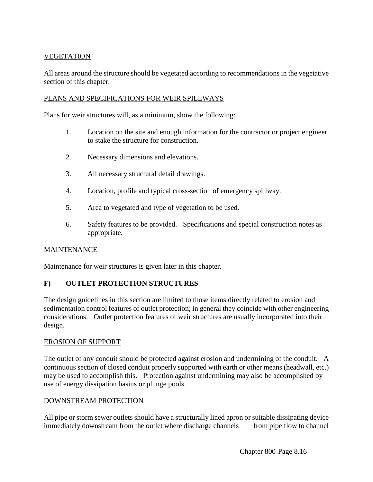## **VEGETATION**

All areas around the structure should be vegetated according to recommendations in the vegetative section of this chapter.

### PLANS AND SPECIFICATIONS FOR WEIR SPILLWAYS

Plans for weir structures will, as a minimum, show the following:

- 1. Location on the site and enough information for the contractor or project engineer to stake the structure for construction.
- 2. Necessary dimensions and elevations.
- 3. All necessary structural detail drawings.
- 4. Location, profile and typical cross-section of emergency spillway.
- 5. Area to vegetated and type of vegetation to be used.
- 6. Safety features to be provided. Specifications and special construction notes as appropriate.

#### MAINTENANCE

Maintenance for weir structures is given later in this chapter.

## **F) OUTLET PROTECTION STRUCTURES**

The design guidelines in this section are limited to those items directly related to erosion and sedimentation control features of outlet protection; in general they coincide with other engineering considerations. Outlet protection features of weir structures are usually incorporated into their design.

#### EROSION OF SUPPORT

The outlet of any conduit should be protected against erosion and undermining of the conduit. A continuous section of closed conduit properly supported with earth or other means (headwall, etc.) may be used to accomplish this. Protection against undermining may also be accomplished by use of energy dissipation basins or plunge pools.

#### DOWNSTREAM PROTECTION

All pipe or storm sewer outlets should have a structurally lined apron or suitable dissipating device immediately downstream from the outlet where discharge channels from pipe flow to channel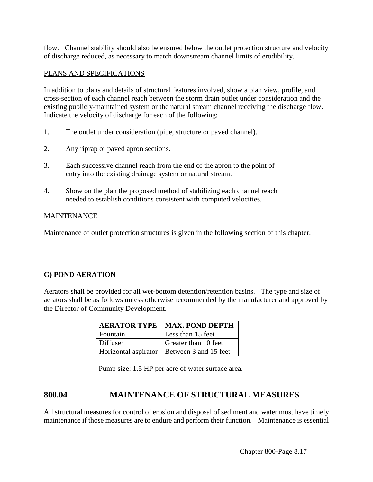flow. Channel stability should also be ensured below the outlet protection structure and velocity of discharge reduced, as necessary to match downstream channel limits of erodibility.

## PLANS AND SPECIFICATIONS

In addition to plans and details of structural features involved, show a plan view, profile, and cross-section of each channel reach between the storm drain outlet under consideration and the existing publicly-maintained system or the natural stream channel receiving the discharge flow. Indicate the velocity of discharge for each of the following:

- 1. The outlet under consideration (pipe, structure or paved channel).
- 2. Any riprap or paved apron sections.
- 3. Each successive channel reach from the end of the apron to the point of entry into the existing drainage system or natural stream.
- 4. Show on the plan the proposed method of stabilizing each channel reach needed to establish conditions consistent with computed velocities.

## MAINTENANCE

Maintenance of outlet protection structures is given in the following section of this chapter.

## **G) POND AERATION**

Aerators shall be provided for all wet-bottom detention/retention basins. The type and size of aerators shall be as follows unless otherwise recommended by the manufacturer and approved by the Director of Community Development.

|            | <b>AERATOR TYPE   MAX. POND DEPTH</b>        |
|------------|----------------------------------------------|
| l Fountain | Less than 15 feet                            |
| Diffuser   | Greater than 10 feet                         |
|            | Horizontal aspirator   Between 3 and 15 feet |

Pump size: 1.5 HP per acre of water surface area.

## **800.04 MAINTENANCE OF STRUCTURAL MEASURES**

All structural measures for control of erosion and disposal of sediment and water must have timely maintenance if those measures are to endure and perform their function. Maintenance is essential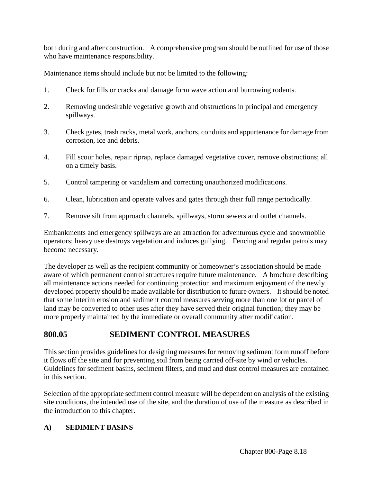both during and after construction. A comprehensive program should be outlined for use of those who have maintenance responsibility.

Maintenance items should include but not be limited to the following:

- 1. Check for fills or cracks and damage form wave action and burrowing rodents.
- 2. Removing undesirable vegetative growth and obstructions in principal and emergency spillways.
- 3. Check gates, trash racks, metal work, anchors, conduits and appurtenance for damage from corrosion, ice and debris.
- 4. Fill scour holes, repair riprap, replace damaged vegetative cover, remove obstructions; all on a timely basis.
- 5. Control tampering or vandalism and correcting unauthorized modifications.
- 6. Clean, lubrication and operate valves and gates through their full range periodically.
- 7. Remove silt from approach channels, spillways, storm sewers and outlet channels.

Embankments and emergency spillways are an attraction for adventurous cycle and snowmobile operators; heavy use destroys vegetation and induces gullying. Fencing and regular patrols may become necessary.

The developer as well as the recipient community or homeowner's association should be made aware of which permanent control structures require future maintenance. A brochure describing all maintenance actions needed for continuing protection and maximum enjoyment of the newly developed property should be made available for distribution to future owners. It should be noted that some interim erosion and sediment control measures serving more than one lot or parcel of land may be converted to other uses after they have served their original function; they may be more properly maintained by the immediate or overall community after modification.

# **800.05 SEDIMENT CONTROL MEASURES**

This section provides guidelines for designing measures for removing sediment form runoff before it flows off the site and for preventing soil from being carried off-site by wind or vehicles. Guidelines for sediment basins, sediment filters, and mud and dust control measures are contained in this section.

Selection of the appropriate sediment control measure will be dependent on analysis of the existing site conditions, the intended use of the site, and the duration of use of the measure as described in the introduction to this chapter.

## **A) SEDIMENT BASINS**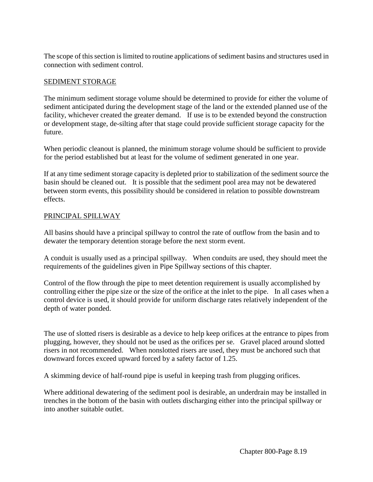The scope of this section is limited to routine applications of sediment basins and structures used in connection with sediment control.

### SEDIMENT STORAGE

The minimum sediment storage volume should be determined to provide for either the volume of sediment anticipated during the development stage of the land or the extended planned use of the facility, whichever created the greater demand. If use is to be extended beyond the construction or development stage, de-silting after that stage could provide sufficient storage capacity for the future.

When periodic cleanout is planned, the minimum storage volume should be sufficient to provide for the period established but at least for the volume of sediment generated in one year.

If at any time sediment storage capacity is depleted prior to stabilization of the sediment source the basin should be cleaned out. It is possible that the sediment pool area may not be dewatered between storm events, this possibility should be considered in relation to possible downstream effects.

## PRINCIPAL SPILLWAY

All basins should have a principal spillway to control the rate of outflow from the basin and to dewater the temporary detention storage before the next storm event.

A conduit is usually used as a principal spillway. When conduits are used, they should meet the requirements of the guidelines given in Pipe Spillway sections of this chapter.

Control of the flow through the pipe to meet detention requirement is usually accomplished by controlling either the pipe size or the size of the orifice at the inlet to the pipe. In all cases when a control device is used, it should provide for uniform discharge rates relatively independent of the depth of water ponded.

The use of slotted risers is desirable as a device to help keep orifices at the entrance to pipes from plugging, however, they should not be used as the orifices per se. Gravel placed around slotted risers in not recommended. When nonslotted risers are used, they must be anchored such that downward forces exceed upward forced by a safety factor of 1.25.

A skimming device of half-round pipe is useful in keeping trash from plugging orifices.

Where additional dewatering of the sediment pool is desirable, an underdrain may be installed in trenches in the bottom of the basin with outlets discharging either into the principal spillway or into another suitable outlet.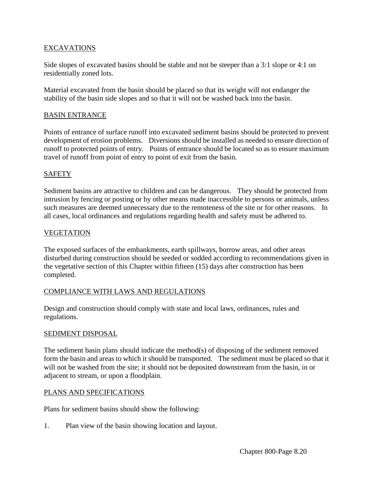## EXCAVATIONS

Side slopes of excavated basins should be stable and not be steeper than a 3:1 slope or 4:1 on residentially zoned lots.

Material excavated from the basin should be placed so that its weight will not endanger the stability of the basin side slopes and so that it will not be washed back into the basin.

### BASIN ENTRANCE

Points of entrance of surface runoff into excavated sediment basins should be protected to prevent development of erosion problems. Diversions should be installed as needed to ensure direction of runoff to protected points of entry. Points of entrance should be located so as to ensure maximum travel of runoff from point of entry to point of exit from the basin.

## **SAFETY**

Sediment basins are attractive to children and can be dangerous. They should be protected from intrusion by fencing or posting or by other means made inaccessible to persons or animals, unless such measures are deemed unnecessary due to the remoteness of the site or for other reasons. In all cases, local ordinances and regulations regarding health and safety must be adhered to.

### VEGETATION

The exposed surfaces of the embankments, earth spillways, borrow areas, and other areas disturbed during construction should be seeded or sodded according to recommendations given in the vegetative section of this Chapter within fifteen (15) days after construction has been completed.

#### COMPLIANCE WITH LAWS AND REGULATIONS

Design and construction should comply with state and local laws, ordinances, rules and regulations.

#### SEDIMENT DISPOSAL

The sediment basin plans should indicate the method(s) of disposing of the sediment removed form the basin and areas to which it should be transported. The sediment must be placed so that it will not be washed from the site; it should not be deposited downstream from the basin, in or adjacent to stream, or upon a floodplain.

#### PLANS AND SPECIFICATIONS

Plans for sediment basins should show the following:

1. Plan view of the basin showing location and layout.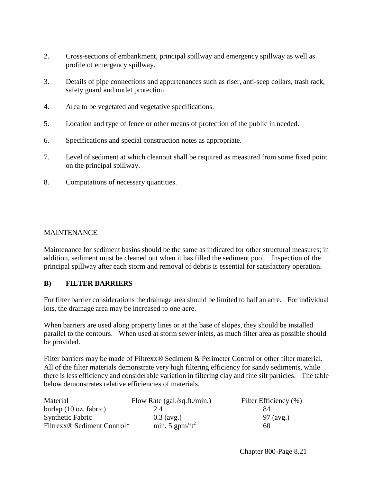- 2. Cross-sections of embankment, principal spillway and emergency spillway as well as profile of emergency spillway.
- 3. Details of pipe connections and appurtenances such as riser, anti-seep collars, trash rack, safety guard and outlet protection.
- 4. Area to be vegetated and vegetative specifications.
- 5. Location and type of fence or other means of protection of the public in needed.
- 6. Specifications and special construction notes as appropriate.
- 7. Level of sediment at which cleanout shall be required as measured from some fixed point on the principal spillway.
- 8. Computations of necessary quantities.

## MAINTENANCE

Maintenance for sediment basins should be the same as indicated for other structural measures; in addition, sediment must be cleaned out when it has filled the sediment pool. Inspection of the principal spillway after each storm and removal of debris is essential for satisfactory operation.

## **B) FILTER BARRIERS**

For filter barrier considerations the drainage area should be limited to half an acre. For individual lots, the drainage area may be increased to one acre.

When barriers are used along property lines or at the base of slopes, they should be installed parallel to the contours. When used at storm sewer inlets, as much filter area as possible should be provided.

Filter barriers may be made of Filtrexx® Sediment & Perimeter Control or other filter material. All of the filter materials demonstrate very high filtering efficiency for sandy sediments, while there is less efficiency and considerable variation in filtering clay and fine silt particles. The table below demonstrates relative efficiencies of materials.

| Material                                            | Flow Rate (gal./sq.ft./min.) | Filter Efficiency (%) |
|-----------------------------------------------------|------------------------------|-----------------------|
| burlap $(10 \text{ oz. fabric})$                    | 2.4                          | 84                    |
| <b>Synthetic Fabric</b>                             | $0.3$ (avg.)                 | 97 (avg.)             |
| Filtrexx <sup>®</sup> Sediment Control <sup>*</sup> | min. 5 gpm/ft <sup>2</sup>   | 60                    |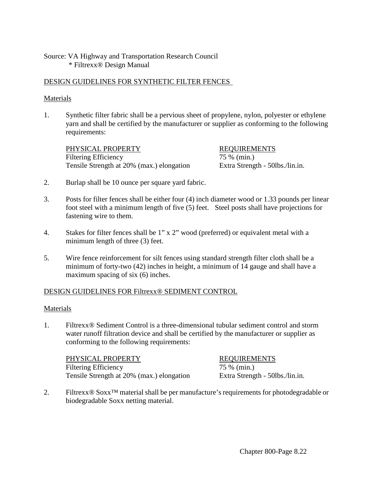## Source: VA Highway and Transportation Research Council \* Filtrexx® Design Manual

### DESIGN GUIDELINES FOR SYNTHETIC FILTER FENCES

#### Materials

1. Synthetic filter fabric shall be a pervious sheet of propylene, nylon, polyester or ethylene yarn and shall be certified by the manufacturer or supplier as conforming to the following requirements:

PHYSICAL PROPERTY REQUIREMENTS Filtering Efficiency 75 % (min.) Tensile Strength at 20% (max.) elongation Extra Strength - 50lbs./lin.in.

- 2. Burlap shall be 10 ounce per square yard fabric.
- 3. Posts for filter fences shall be either four (4) inch diameter wood or 1.33 pounds per linear foot steel with a minimum length of five (5) feet. Steel posts shall have projections for fastening wire to them.
- 4. Stakes for filter fences shall be 1" x 2" wood (preferred) or equivalent metal with a minimum length of three (3) feet.
- 5. Wire fence reinforcement for silt fences using standard strength filter cloth shall be a minimum of forty-two (42) inches in height, a minimum of 14 gauge and shall have a maximum spacing of six (6) inches.

#### DESIGN GUIDELINES FOR Filtrexx® SEDIMENT CONTROL

#### Materials

1. Filtrexx® Sediment Control is a three-dimensional tubular sediment control and storm water runoff filtration device and shall be certified by the manufacturer or supplier as conforming to the following requirements:

PHYSICAL PROPERTY REQUIREMENTS Filtering Efficiency 75 % (min.) Tensile Strength at 20% (max.) elongation Extra Strength - 50lbs./lin.in.

2. Filtrexx® Soxx™ material shall be per manufacture's requirements for photodegradable or biodegradable Soxx netting material.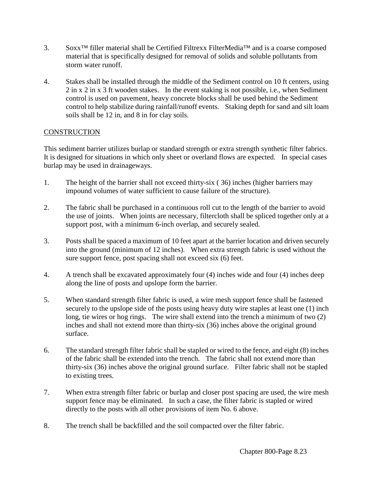- 3. Soxx™ filler material shall be Certified Filtrexx FilterMedia™ and is a coarse composed material that is specifically designed for removal of solids and soluble pollutants from storm water runoff.
- 4. Stakes shall be installed through the middle of the Sediment control on 10 ft centers, using 2 in x 2 in x 3 ft wooden stakes. In the event staking is not possible, i.e., when Sediment control is used on pavement, heavy concrete blocks shall be used behind the Sediment control to help stabilize during rainfall/runoff events. Staking depth for sand and silt loam soils shall be 12 in, and 8 in for clay soils.

## **CONSTRUCTION**

This sediment barrier utilizes burlap or standard strength or extra strength synthetic filter fabrics. It is designed for situations in which only sheet or overland flows are expected. In special cases burlap may be used in drainageways.

- 1. The height of the barrier shall not exceed thirty-six ( 36) inches (higher barriers may impound volumes of water sufficient to cause failure of the structure).
- 2. The fabric shall be purchased in a continuous roll cut to the length of the barrier to avoid the use of joints. When joints are necessary, filtercloth shall be spliced together only at a support post, with a minimum 6-inch overlap, and securely sealed.
- 3. Posts shall be spaced a maximum of 10 feet apart at the barrier location and driven securely into the ground (minimum of 12 inches). When extra strength fabric is used without the sure support fence, post spacing shall not exceed six (6) feet.
- 4. A trench shall be excavated approximately four (4) inches wide and four (4) inches deep along the line of posts and upslope form the barrier.
- 5. When standard strength filter fabric is used, a wire mesh support fence shall be fastened securely to the upslope side of the posts using heavy duty wire staples at least one (1) inch long, tie wires or hog rings. The wire shall extend into the trench a minimum of two (2) inches and shall not extend more than thirty-six (36) inches above the original ground surface.
- 6. The standard strength filter fabric shall be stapled or wired to the fence, and eight (8) inches of the fabric shall be extended into the trench. The fabric shall not extend more than thirty-six (36) inches above the original ground surface. Filter fabric shall not be stapled to existing trees.
- 7. When extra strength filter fabric or burlap and closer post spacing are used, the wire mesh support fence may be eliminated. In such a case, the filter fabric is stapled or wired directly to the posts with all other provisions of item No. 6 above.
- 8. The trench shall be backfilled and the soil compacted over the filter fabric.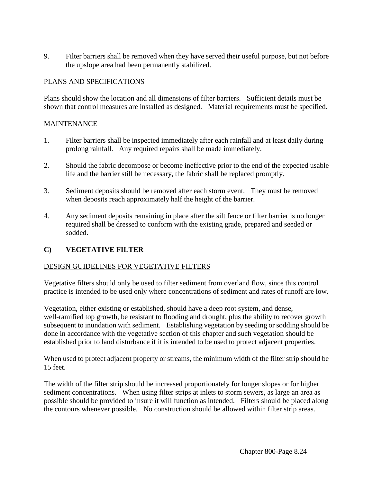9. Filter barriers shall be removed when they have served their useful purpose, but not before the upslope area had been permanently stabilized.

## PLANS AND SPECIFICATIONS

Plans should show the location and all dimensions of filter barriers. Sufficient details must be shown that control measures are installed as designed. Material requirements must be specified.

## **MAINTENANCE**

- 1. Filter barriers shall be inspected immediately after each rainfall and at least daily during prolong rainfall. Any required repairs shall be made immediately.
- 2. Should the fabric decompose or become ineffective prior to the end of the expected usable life and the barrier still be necessary, the fabric shall be replaced promptly.
- 3. Sediment deposits should be removed after each storm event. They must be removed when deposits reach approximately half the height of the barrier.
- 4. Any sediment deposits remaining in place after the silt fence or filter barrier is no longer required shall be dressed to conform with the existing grade, prepared and seeded or sodded.

## **C) VEGETATIVE FILTER**

## DESIGN GUIDELINES FOR VEGETATIVE FILTERS

Vegetative filters should only be used to filter sediment from overland flow, since this control practice is intended to be used only where concentrations of sediment and rates of runoff are low.

Vegetation, either existing or established, should have a deep root system, and dense, well-ramified top growth, be resistant to flooding and drought, plus the ability to recover growth subsequent to inundation with sediment. Establishing vegetation by seeding or sodding should be done in accordance with the vegetative section of this chapter and such vegetation should be established prior to land disturbance if it is intended to be used to protect adjacent properties.

When used to protect adjacent property or streams, the minimum width of the filter strip should be 15 feet.

The width of the filter strip should be increased proportionately for longer slopes or for higher sediment concentrations. When using filter strips at inlets to storm sewers, as large an area as possible should be provided to insure it will function as intended. Filters should be placed along the contours whenever possible. No construction should be allowed within filter strip areas.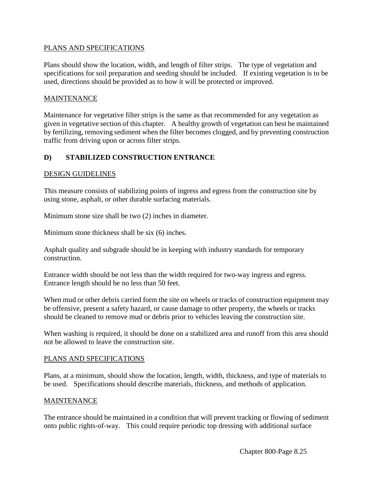### PLANS AND SPECIFICATIONS

Plans should show the location, width, and length of filter strips. The type of vegetation and specifications for soil preparation and seeding should be included. If existing vegetation is to be used, directions should be provided as to how it will be protected or improved.

#### MAINTENANCE

Maintenance for vegetative filter strips is the same as that recommended for any vegetation as given in vegetative section of this chapter. A healthy growth of vegetation can best be maintained by fertilizing, removing sediment when the filter becomes clogged, and by preventing construction traffic from driving upon or across filter strips.

## **D) STABILIZED CONSTRUCTION ENTRANCE**

#### DESIGN GUIDELINES

This measure consists of stabilizing points of ingress and egress from the construction site by using stone, asphalt, or other durable surfacing materials.

Minimum stone size shall be two (2) inches in diameter.

Minimum stone thickness shall be six (6) inches.

Asphalt quality and subgrade should be in keeping with industry standards for temporary construction.

Entrance width should be not less than the width required for two-way ingress and egress. Entrance length should be no less than 50 feet.

When mud or other debris carried form the site on wheels or tracks of construction equipment may be offensive, present a safety hazard, or cause damage to other property, the wheels or tracks should be cleaned to remove mud or debris prior to vehicles leaving the construction site.

When washing is required, it should be done on a stabilized area and runoff from this area should not be allowed to leave the construction site.

#### PLANS AND SPECIFICATIONS

Plans, at a minimum, should show the location, length, width, thickness, and type of materials to be used. Specifications should describe materials, thickness, and methods of application.

#### MAINTENANCE

The entrance should be maintained in a condition that will prevent tracking or flowing of sediment onto public rights-of-way. This could require periodic top dressing with additional surface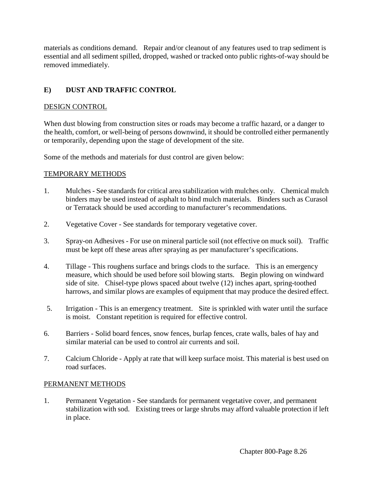materials as conditions demand. Repair and/or cleanout of any features used to trap sediment is essential and all sediment spilled, dropped, washed or tracked onto public rights-of-way should be removed immediately.

## **E) DUST AND TRAFFIC CONTROL**

## DESIGN CONTROL

When dust blowing from construction sites or roads may become a traffic hazard, or a danger to the health, comfort, or well-being of persons downwind, it should be controlled either permanently or temporarily, depending upon the stage of development of the site.

Some of the methods and materials for dust control are given below:

## TEMPORARY METHODS

- 1. Mulches See standards for critical area stabilization with mulches only. Chemical mulch binders may be used instead of asphalt to bind mulch materials. Binders such as Curasol or Terratack should be used according to manufacturer's recommendations.
- 2. Vegetative Cover See standards for temporary vegetative cover.
- 3. Spray-on Adhesives For use on mineral particle soil (not effective on muck soil). Traffic must be kept off these areas after spraying as per manufacturer's specifications.
- 4. Tillage This roughens surface and brings clods to the surface. This is an emergency measure, which should be used before soil blowing starts. Begin plowing on windward side of site. Chisel-type plows spaced about twelve (12) inches apart, spring-toothed harrows, and similar plows are examples of equipment that may produce the desired effect.
- 5. Irrigation This is an emergency treatment. Site is sprinkled with water until the surface is moist. Constant repetition is required for effective control.
- 6. Barriers Solid board fences, snow fences, burlap fences, crate walls, bales of hay and similar material can be used to control air currents and soil.
- 7. Calcium Chloride Apply at rate that will keep surface moist. This material is best used on road surfaces.

## PERMANENT METHODS

1. Permanent Vegetation - See standards for permanent vegetative cover, and permanent stabilization with sod. Existing trees or large shrubs may afford valuable protection if left in place.